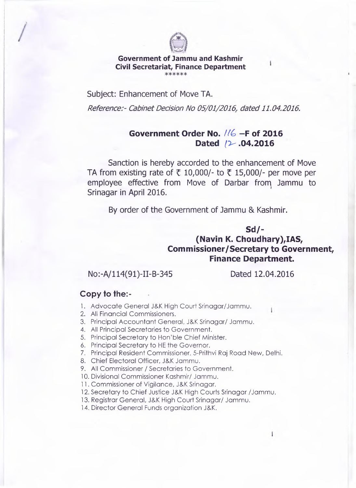

## **Government of Jammu and Kashmir Civil Secretariat, Finance Department**

Subject: Enhancement of Move TA.

*Reference:- Cabinet Decision No 05/01/2016, dated 11.04.2016.* 

## **Government Order No. //6 -F of 2016** Dated /2 .04.2016

Sanction is hereby accorded to the enhancement of Move TA from existing rate of *t* 10,000/- to *t* 15,000/- per move per employee effective from Move of Darbar from Jammu to Srinagar in April 2016.

By order of the Government of Jammu & Kashmir.

## **Sd/- (Navin K. Choudhary),IAS, Commissioner/Secretary to Government, Finance Department.**

No:-A/114(91)-II-B-345 Dated 12.04.2016

## **Copy to the:-**

- 1. Advocate General J&K High Court Srinagar/Jammu.
- 2. All Financial Commissioners.
- 3. Principal Accountant General, J&K Srinagar/ Jammu.
- 4. All Principal Secretaries to Government.
- 5. Principal Secretary to Hon'ble Chief Minister.
- 6. Principal Secretary to HE the Governor.
- 7. Principal Resident Commissioner, 5-Prithvi Raj Road New, Delhi.
- 8. Chief Electoral Officer, J&K Jammu.
- 9. All Commissioner / Secretaries to Government.
- 10. Divisional Commissioner Kashmir/ Jammu.
- 11. Commissioner of Vigilance, J&K Srinagar.
- 12. Secretary to Chief Justice J&K High Courts Srinagar /Jammu.
- 13. Registrar General, J&K High Court Srinagar/ Jammu.
- 14. Director General Funds organization J&K.